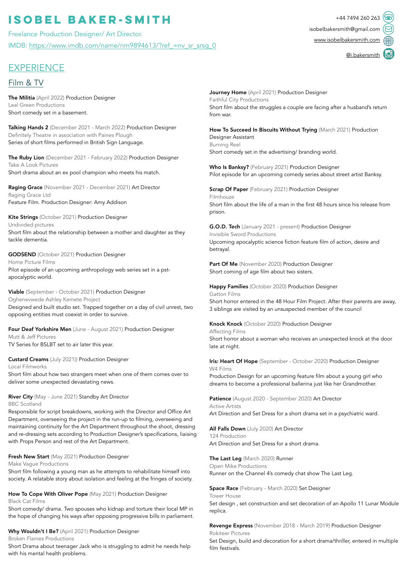# **ISOBEL BAKER-SMITH**  $+44\,7494\,260\,263$

Freelance Production Designer/ Art Director. IMDB: [https://www.imdb.com/name/nm9894613/?ref\\_=nv\\_sr\\_srsg\\_0](https://www.imdb.com/name/nm9894613/?ref_=nv_sr_srsg_0)

# **EXPERIENCE**

## Film & TV

The Militia (April 2022) Production Designer Leal Green Productions Short comedy set in a basement.

Talking Hands 2 (December 2021 - March 2022) Production Designer Definitely Theatre in association with Paines Plough Series of short films performed in British Sign Language.

The Ruby Lion (December 2021 - February 2022) Production Designer Take A Look Pictures Short drama about an ex pool champion who meets his match.

Raging Grace (November 2021 - December 2021) Art Director Raging Grace Ltd Feature Film. Production Designer: Amy Addison

Kite Strings (October 2021) Production Designer Undivided pictures Short film about the relationship between a mother and daughter as they tackle dementia.

GODSEND (October 2021) Production Designer Home Picture Films Pilot episode of an upcoming anthropology web series set in a pstapocalyptic world.

Viable (September - October 2021) Production Designer Oghenevwede Ashley Kemete Project Designed and built studio set. Trapped together on a day of civil unrest, two opposing entities must coexist in order to survive.

Four Deaf Yorkshire Men (June - August 2021) Production Designer Mutt & Jeff Pictures TV Series for BSLBT set to air later this year.

Custard Creams (July 2021)) Production Designer Local Filmworks Short film about how two strangers meet when one of them comes over to

deliver some unexpected devastating news.

#### River City (May - June 2021) Standby Art Director BBC Scotland

Responsible for script breakdowns, working with the Director and Office Art Department, overseeing the project in the run-up to filming, overseeing and maintaining continuity for the Art Department throughout the shoot, dressing and re-dressing sets according to Production Designer's specifications, liaising with Props Person and rest of the Art Department.

Fresh New Start (May 2021) Production Designer

Make Vague Productions

Short film following a young man as he attempts to rehabilitate himself into society. A relatable story about isolation and feeling at the fringes of society.

How To Cope With Oliver Pope (May 2021) Production Designer Black Cat Films

Short comedy/ drama. Two spouses who kidnap and torture their local MP in the hope of changing his ways after opposing progressive bills in parliament.

Why Wouldn't I Be? (April 2021) Production Designer Broken Flames Productions

Short Drama about teenager Jack who is struggling to admit he needs help with his mental health problems.

Journey Home (April 2021) Production Designer Faithful City Productions Short film about the struggles a couple are facing after a husband's return from war.

How To Succeed In Biscuits Without Trying (March 2021) Production Designer Assistant Burning Reel Short comedy set in the advertising/ branding world.

Who Is Banksy? (February 2021) Production Designer Pilot episode for an upcoming comedy series about street artist Banksy.

**Scrap Of Paper** (February 2021) Production Designer Filmhouze Short film about the life of a man in the first 48 hours since his release from prison.

G.O.D. Tech (January 2021 - present) Production Designer Invisible Sword Productions Upcoming apocalyptic science fiction feature film of action, desire and betrayal.

Part Of Me (November 2020) Production Designer Short coming of age film about two sisters.

Happy Families (October 2020) Production Designer Gatton Films Short horror entered in the 48 Hour Film Project. After their parents are away, 3 siblings are visited by an unsuspected member of the council

Knock Knock (October 2020) Production Designer Affecting Films Short horror about a woman who receives an unexpected knock at the door late at night.

Iris: Heart Of Hope (September - October 2020) Production Designer W4 Films Production Design for an upcoming feature film about a young girl who dreams to become a professional ballerina just like her Grandmother.

Patience (August 2020 - September 2020) Art Director Active Artists Art Direction and Set Dress for a short drama set in a psychiatric ward.

All Falls Down (July 2020) Art Director 124 Production Art Direction and Set Dress for a short drama.

The Last Leg (March 2020) Runner Open Mike Productions Runner on the Channel 4's comedy chat show The Last Leg.

Space Race (February - March 2020) Set Designer Tower House Set design , set construction and set decoration of an Apollo 11 Lunar Module replica.

Revenge Express (November 2018 - March 2019) Production Designer Rokiteer Pictures

Set Design, build and decoration for a short drama/thriller, entered in multiple film festivals.

[isobelbakersmith@gmail.com](mailto:isobelbakersmith@gmail.com) [www.isobelbakersmith.com](http://www.isobelbakersmith.com)

[@i.bakersmith](https://www.instagram.com/i.bakersmith/)